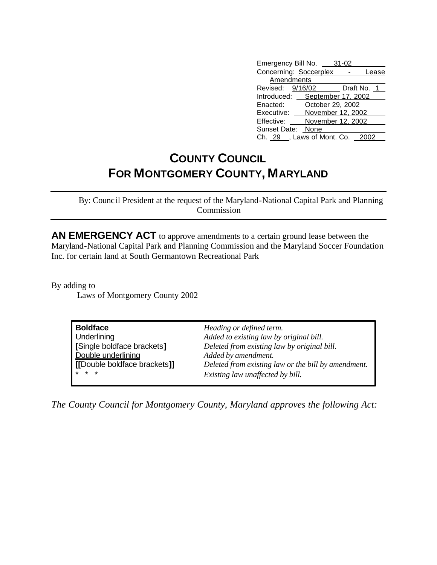| Emergency Bill No. 31-02        |                   |       |
|---------------------------------|-------------------|-------|
| Concerning: Soccerplex -        |                   | Lease |
| Amendments                      |                   |       |
| Revised: 9/16/02 Draft No. 1    |                   |       |
| Introduced: September 17, 2002  |                   |       |
| Enacted: October 29, 2002       |                   |       |
| Executive: November 12, 2002    |                   |       |
| Effective:                      | November 12, 2002 |       |
| Sunset Date: None               |                   |       |
| Ch. 29 . Laws of Mont. Co. 2002 |                   |       |

## **COUNTY COUNCIL FOR MONTGOMERY COUNTY, MARYLAND**

By: Council President at the request of the Maryland-National Capital Park and Planning Commission

**AN EMERGENCY ACT** to approve amendments to a certain ground lease between the Maryland-National Capital Park and Planning Commission and the Maryland Soccer Foundation Inc. for certain land at South Germantown Recreational Park

By adding to Laws of Montgomery County 2002

| <b>Boldface</b>              | Heading or defined term.                            |  |
|------------------------------|-----------------------------------------------------|--|
| Underlining                  | Added to existing law by original bill.             |  |
| [Single boldface brackets]   | Deleted from existing law by original bill.         |  |
| Double underlining           | Added by amendment.                                 |  |
| [[Double boldface brackets]] | Deleted from existing law or the bill by amendment. |  |
| $* * *$                      | Existing law unaffected by bill.                    |  |

*The County Council for Montgomery County, Maryland approves the following Act:*